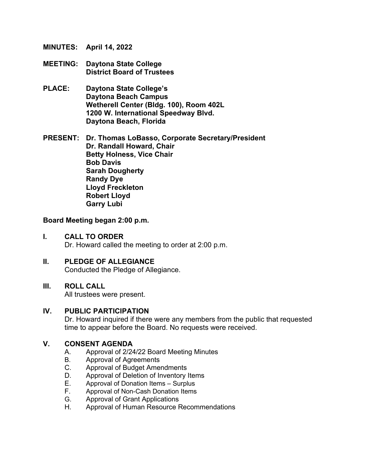- **MINUTES: April 14, 2022**
- **MEETING: Daytona State College District Board of Trustees**
- **PLACE: Daytona State College's Daytona Beach Campus Wetherell Center (Bldg. 100), Room 402L 1200 W. International Speedway Blvd. Daytona Beach, Florida**

**PRESENT: Dr. Thomas LoBasso, Corporate Secretary/President Dr. Randall Howard, Chair Betty Holness, Vice Chair Bob Davis Sarah Dougherty Randy Dye Lloyd Freckleton Robert Lloyd Garry Lubi**

#### **Board Meeting began 2:00 p.m.**

- **I. CALL TO ORDER** Dr. Howard called the meeting to order at 2:00 p.m.
- **II. PLEDGE OF ALLEGIANCE** Conducted the Pledge of Allegiance.

#### **III. ROLL CALL**

All trustees were present.

#### **IV. PUBLIC PARTICIPATION**

Dr. Howard inquired if there were any members from the public that requested time to appear before the Board. No requests were received.

#### **V. CONSENT AGENDA**

- A. Approval of 2/24/22 Board Meeting Minutes
- B. Approval of Agreements
- C. Approval of Budget Amendments
- D. Approval of Deletion of Inventory Items
- E. Approval of Donation Items Surplus<br>F. Approval of Non-Cash Donation Items
- Approval of Non-Cash Donation Items
- G. Approval of Grant Applications
- H. Approval of Human Resource Recommendations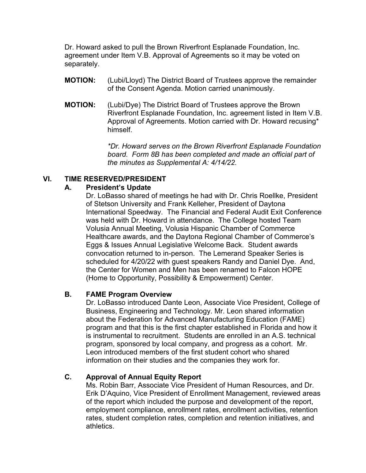Dr. Howard asked to pull the Brown Riverfront Esplanade Foundation, Inc. agreement under Item V.B. Approval of Agreements so it may be voted on separately.

- **MOTION:** (Lubi/Lloyd) The District Board of Trustees approve the remainder of the Consent Agenda. Motion carried unanimously.
- **MOTION:** (Lubi/Dye) The District Board of Trustees approve the Brown Riverfront Esplanade Foundation, Inc. agreement listed in Item V.B. Approval of Agreements. Motion carried with Dr. Howard recusing\* himself.

*\*Dr. Howard serves on the Brown Riverfront Esplanade Foundation board. Form 8B has been completed and made an official part of the minutes as Supplemental A: 4/14/22.*

### **VI. TIME RESERVED/PRESIDENT**

### **A. President's Update**

Dr. LoBasso shared of meetings he had with Dr. Chris Roellke, President of Stetson University and Frank Kelleher, President of Daytona International Speedway. The Financial and Federal Audit Exit Conference was held with Dr. Howard in attendance. The College hosted Team Volusia Annual Meeting, Volusia Hispanic Chamber of Commerce Healthcare awards, and the Daytona Regional Chamber of Commerce's Eggs & Issues Annual Legislative Welcome Back. Student awards convocation returned to in-person. The Lemerand Speaker Series is scheduled for 4/20/22 with guest speakers Randy and Daniel Dye. And, the Center for Women and Men has been renamed to Falcon HOPE (Home to Opportunity, Possibility & Empowerment) Center.

#### **B. FAME Program Overview**

Dr. LoBasso introduced Dante Leon, Associate Vice President, College of Business, Engineering and Technology. Mr. Leon shared information about the Federation for Advanced Manufacturing Education (FAME) program and that this is the first chapter established in Florida and how it is instrumental to recruitment. Students are enrolled in an A.S. technical program, sponsored by local company, and progress as a cohort. Mr. Leon introduced members of the first student cohort who shared information on their studies and the companies they work for.

#### **C. Approval of Annual Equity Report**

Ms. Robin Barr, Associate Vice President of Human Resources, and Dr. Erik D'Aquino, Vice President of Enrollment Management, reviewed areas of the report which included the purpose and development of the report, employment compliance, enrollment rates, enrollment activities, retention rates, student completion rates, completion and retention initiatives, and athletics.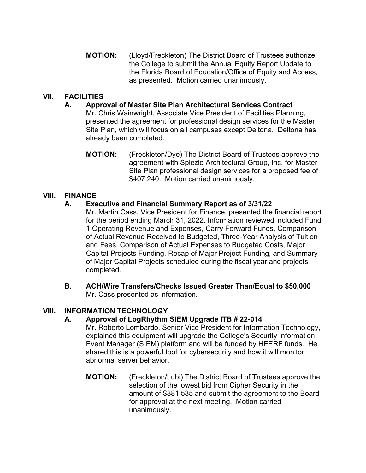**MOTION:** (Lloyd/Freckleton) The District Board of Trustees authorize the College to submit the Annual Equity Report Update to the Florida Board of Education/Office of Equity and Access, as presented. Motion carried unanimously.

# **VII. FACILITIES**

### **A. Approval of Master Site Plan Architectural Services Contract**

Mr. Chris Wainwright, Associate Vice President of Facilities Planning, presented the agreement for professional design services for the Master Site Plan, which will focus on all campuses except Deltona. Deltona has already been completed.

**MOTION:** (Freckleton/Dye) The District Board of Trustees approve the agreement with Spiezle Architectural Group, Inc. for Master Site Plan professional design services for a proposed fee of \$407,240. Motion carried unanimously.

### **VIII. FINANCE**

### **A. Executive and Financial Summary Report as of 3/31/22**

Mr. Martin Cass, Vice President for Finance, presented the financial report for the period ending March 31, 2022. Information reviewed included Fund 1 Operating Revenue and Expenses, Carry Forward Funds, Comparison of Actual Revenue Received to Budgeted, Three-Year Analysis of Tuition and Fees, Comparison of Actual Expenses to Budgeted Costs, Major Capital Projects Funding, Recap of Major Project Funding, and Summary of Major Capital Projects scheduled during the fiscal year and projects completed.

**B. ACH/Wire Transfers/Checks Issued Greater Than/Equal to \$50,000**  Mr. Cass presented as information.

### **VIII. INFORMATION TECHNOLOGY**

### **A. Approval of LogRhythm SIEM Upgrade ITB # 22-014**

Mr. Roberto Lombardo, Senior Vice President for Information Technology, explained this equipment will upgrade the College's Security Information Event Manager (SIEM) platform and will be funded by HEERF funds. He shared this is a powerful tool for cybersecurity and how it will monitor abnormal server behavior.

**MOTION:** (Freckleton/Lubi) The District Board of Trustees approve the selection of the lowest bid from Cipher Security in the amount of \$881,535 and submit the agreement to the Board for approval at the next meeting. Motion carried unanimously.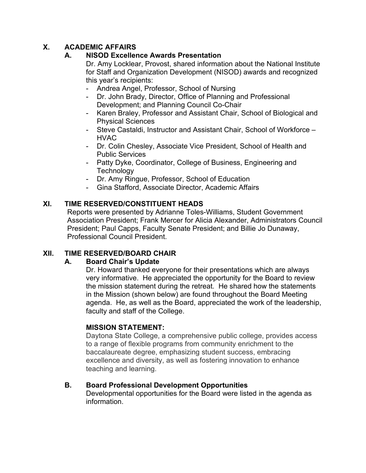# **X. ACADEMIC AFFAIRS**

### **A. NISOD Excellence Awards Presentation**

Dr. Amy Locklear, Provost, shared information about the National Institute for Staff and Organization Development (NISOD) awards and recognized this year's recipients:

- Andrea Angel, Professor, School of Nursing
- Dr. John Brady, Director, Office of Planning and Professional Development; and Planning Council Co-Chair
- Karen Braley, Professor and Assistant Chair, School of Biological and Physical Sciences
- Steve Castaldi, Instructor and Assistant Chair, School of Workforce HVAC
- Dr. Colin Chesley, Associate Vice President, School of Health and Public Services
- Patty Dyke, Coordinator, College of Business, Engineering and **Technology**
- Dr. Amy Ringue, Professor, School of Education
- Gina Stafford, Associate Director, Academic Affairs

### **XI. TIME RESERVED/CONSTITUENT HEADS**

Reports were presented by Adrianne Toles-Williams, Student Government Association President; Frank Mercer for Alicia Alexander, Administrators Council President; Paul Capps, Faculty Senate President; and Billie Jo Dunaway, Professional Council President.

### **XII. TIME RESERVED/BOARD CHAIR**

#### **A. Board Chair's Update**

Dr. Howard thanked everyone for their presentations which are always very informative. He appreciated the opportunity for the Board to review the mission statement during the retreat. He shared how the statements in the Mission (shown below) are found throughout the Board Meeting agenda. He, as well as the Board, appreciated the work of the leadership, faculty and staff of the College.

#### **MISSION STATEMENT:**

Daytona State College, a comprehensive public college, provides access to a range of flexible programs from community enrichment to the baccalaureate degree, emphasizing student success, embracing excellence and diversity, as well as fostering innovation to enhance teaching and learning.

#### **B. Board Professional Development Opportunities**

Developmental opportunities for the Board were listed in the agenda as information.